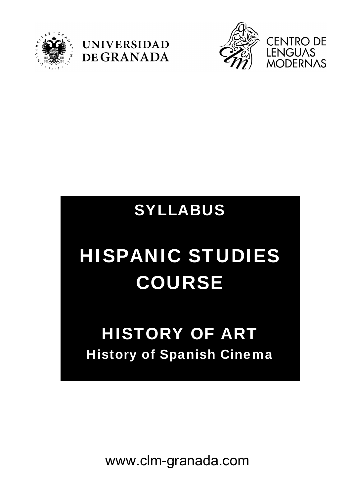





## SYLLABUS

# HISPANIC STUDIES COURSE

## HISTORY OF ART History of Spanish Cinema

www.clm-granada.com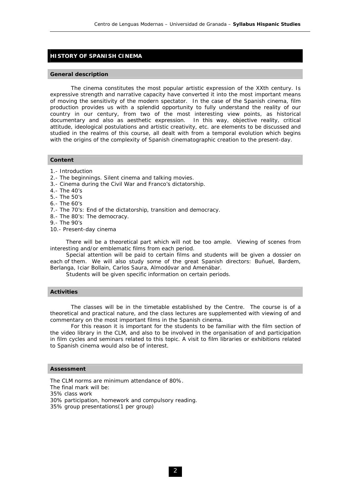### **HISTORY OF SPANISH CINEMA**

#### **General description**

 The cinema constitutes the most popular artistic expression of the XXth century. Is expressive strength and narrative capacity have converted it into the most important means of moving the sensitivity of the modern spectator. In the case of the Spanish cinema, film production provides us with a splendid opportunity to fully understand the reality of our country in our century, from two of the most interesting view points, as historical documentary and also as aesthetic expression. In this way, objective reality, critical attitude, ideological postulations and artistic creativity, etc. are elements to be discussed and studied in the realms of this course, all dealt with from a temporal evolution which begins with the origins of the complexity of Spanish cinematographic creation to the present-day.

#### **Content**

- 1.- Introduction
- 2.- The beginnings. Silent cinema and talking movies.
- 3.- Cinema during the Civil War and Franco's dictatorship.
- 4.- The 40's
- 5.- The 50's
- 6.- The 60's
- 7.- The 70's: End of the dictatorship, transition and democracy.
- 8.- The 80's: The democracy.
- 9.- The 90's
- 10.- Present-day cinema

 There will be a theoretical part which will not be too ample. Viewing of scenes from interesting and/or emblematic films from each period.

 Special attention will be paid to certain films and students will be given a dossier on each of them. We will also study some of the great Spanish directors: Buñuel, Bardem, Berlanga, Iciar Bollain, Carlos Saura, Almodóvar and Amenábar.

Students will be given specific information on certain periods.

#### **Activities**

 The classes will be in the timetable established by the Centre. The course is of a theoretical and practical nature, and the class lectures are supplemented with viewing of and commentary on the most important films in the Spanish cinema.

 For this reason it is important for the students to be familiar with the film section of the video library in the CLM, and also to be involved in the organisation of and participation in film cycles and seminars related to this topic. A visit to film libraries or exhibitions related to Spanish cinema would also be of interest.

#### **Assessment**

The CLM norms are minimum attendance of 80%. The final mark will be: 35% class work 30% participation, homework and compulsory reading. 35% group presentations(1 per group)